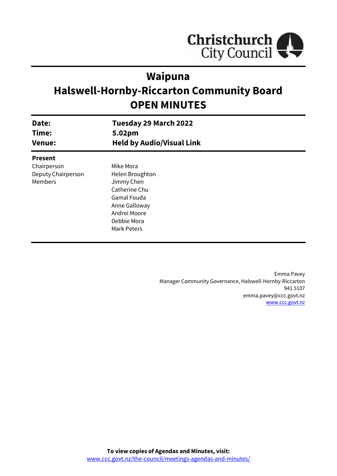

## **Waipuna**

# **Halswell-Hornby-Riccarton Community Board OPEN MINUTES**

| Date:<br>Time:<br><b>Venue:</b> | Tuesday 29 March 2022<br>5.02pm<br><b>Held by Audio/Visual Link</b> |  |
|---------------------------------|---------------------------------------------------------------------|--|
| <b>Present</b>                  |                                                                     |  |
| Chairperson                     | Mike Mora                                                           |  |
| Deputy Chairperson              | Helen Broughton                                                     |  |
| Members                         | Jimmy Chen                                                          |  |
|                                 | Catherine Chu                                                       |  |
|                                 | Gamal Fouda                                                         |  |
|                                 | Anne Galloway                                                       |  |
|                                 | Andrei Moore                                                        |  |
|                                 | Debbie Mora                                                         |  |
|                                 | Mark Peters                                                         |  |
|                                 |                                                                     |  |

Emma Pavey Manager Community Governance, Halswell-Hornby-Riccarton 941 5107 emma.pavey@ccc.govt.nz [www.ccc.govt.nz](http://www.ccc.govt.nz/)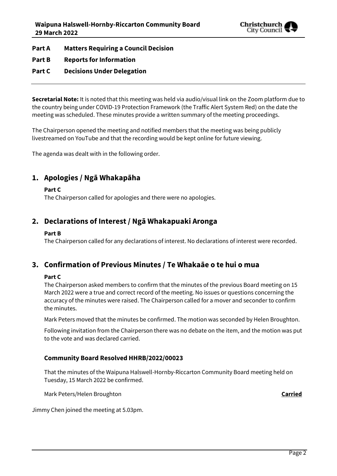

**Part A Matters Requiring a Council Decision**

- **Part B Reports for Information**
- **Part C Decisions Under Delegation**

**Secretarial Note:** It is noted that this meeting was held via audio/visual link on the Zoom platform due to the country being under COVID-19 Protection Framework (the Traffic Alert System Red) on the date the meeting was scheduled. These minutes provide a written summary of the meeting proceedings.

The Chairperson opened the meeting and notified members that the meeting was being publicly livestreamed on YouTube and that the recording would be kept online for future viewing.

The agenda was dealt with in the following order.

## **1. Apologies / Ngā Whakapāha**

**Part C** 

The Chairperson called for apologies and there were no apologies.

## **2. Declarations of Interest / Ngā Whakapuaki Aronga**

### **Part B**

The Chairperson called for any declarations of interest. No declarations of interest were recorded.

## **3. Confirmation of Previous Minutes / Te Whakaāe o te hui o mua**

### **Part C**

The Chairperson asked members to confirm that the minutes of the previous Board meeting on 15 March 2022 were a true and correct record of the meeting. No issues or questions concerning the accuracy of the minutes were raised. The Chairperson called for a mover and seconder to confirm the minutes.

Mark Peters moved that the minutes be confirmed. The motion was seconded by Helen Broughton.

Following invitation from the Chairperson there was no debate on the item, and the motion was put to the vote and was declared carried.

## **Community Board Resolved HHRB/2022/00023**

That the minutes of the Waipuna Halswell-Hornby-Riccarton Community Board meeting held on Tuesday, 15 March 2022 be confirmed.

Mark Peters/Helen Broughton **Carried**

Jimmy Chen joined the meeting at 5.03pm.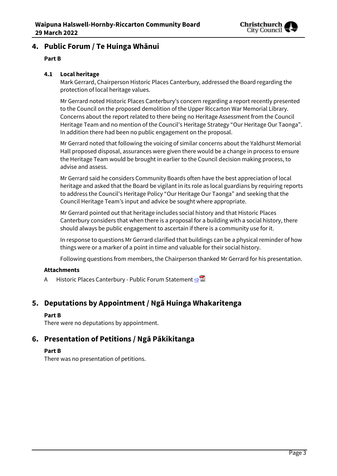

## **4. Public Forum / Te Huinga Whānui**

## **Part B**

## **4.1 Local heritage**

Mark Gerrard, Chairperson Historic Places Canterbury, addressed the Board regarding the protection of local heritage values.

Mr Gerrard noted Historic Places Canterbury's concern regarding a report recently presented to the Council on the proposed demolition of the Upper Riccarton War Memorial Library. Concerns about the report related to there being no Heritage Assessment from the Council Heritage Team and no mention of the Council's Heritage Strategy "Our Heritage Our Taonga". In addition there had been no public engagement on the proposal.

Mr Gerrard noted that following the voicing of similar concerns about the Yaldhurst Memorial Hall proposed disposal, assurances were given there would be a change in process to ensure the Heritage Team would be brought in earlier to the Council decision making process, to advise and assess.

Mr Gerrard said he considers Community Boards often have the best appreciation of local heritage and asked that the Board be vigilant in its role as local guardians by requiring reports to address the Council's Heritage Policy "Our Heritage Our Taonga" and seeking that the Council Heritage Team's input and advice be sought where appropriate.

Mr Gerrard pointed out that heritage includes social history and that Historic Places Canterbury considers that when there is a proposal for a building with a social history, there should always be public engagement to ascertain if there is a community use for it.

In response to questions Mr Gerrard clarified that buildings can be a physical reminder of how things were or a marker of a point in time and valuable for their social history.

Following questions from members, the Chairperson thanked Mr Gerrard for his presentation.

### **Attachments**

A Historic Places Canterbury - Public Forum Statement [⇨](../../../RedirectToInvalidFileName.aspx?FileName=HHRB_20220329_MAT_7632.PDF#PAGE=1)

## **5. Deputations by Appointment / Ngā Huinga Whakaritenga**

### **Part B**

There were no deputations by appointment.

## **6. Presentation of Petitions / Ngā Pākikitanga**

### **Part B**

There was no presentation of petitions.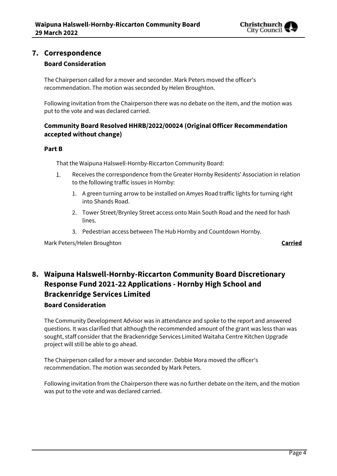

## **7. Correspondence Board Consideration**

The Chairperson called for a mover and seconder. Mark Peters moved the officer's recommendation. The motion was seconded by Helen Broughton.

Following invitation from the Chairperson there was no debate on the item, and the motion was put to the vote and was declared carried.

## **Community Board Resolved HHRB/2022/00024 (Original Officer Recommendation accepted without change)**

## **Part B**

That the Waipuna Halswell-Hornby-Riccarton Community Board:

- Receives the correspondence from the Greater Hornby Residents' Association in relation 1. to the following traffic issues in Hornby:
	- 1. A green turning arrow to be installed on Amyes Road traffic lights for turning right into Shands Road.
	- 2. Tower Street/Brynley Street access onto Main South Road and the need for hash lines.
	- 3. Pedestrian access between The Hub Hornby and Countdown Hornby.

Mark Peters/Helen Broughton **Carried**

## **8. Waipuna Halswell-Hornby-Riccarton Community Board Discretionary Response Fund 2021-22 Applications - Hornby High School and Brackenridge Services Limited**

## **Board Consideration**

The Community Development Advisor was in attendance and spoke to the report and answered questions. It was clarified that although the recommended amount of the grant was less than was sought, staff consider that the Brackenridge Services Limited Waitaha Centre Kitchen Upgrade project will still be able to go ahead.

The Chairperson called for a mover and seconder. Debbie Mora moved the officer's recommendation. The motion was seconded by Mark Peters.

Following invitation from the Chairperson there was no further debate on the item, and the motion was put to the vote and was declared carried.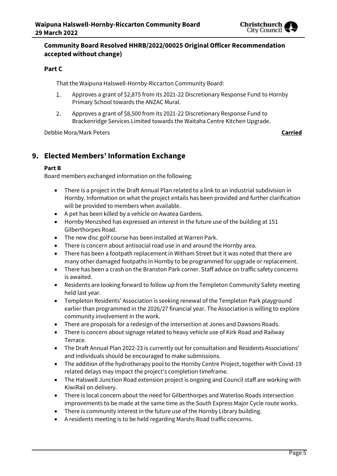

## **Community Board Resolved HHRB/2022/00025 Original Officer Recommendation accepted without change)**

## **Part C**

That the Waipuna Halswell-Hornby-Riccarton Community Board:

- Approves a grant of \$2,875 from its 2021-22 Discretionary Response Fund to Hornby 1. Primary School towards the ANZAC Mural.
- 2. Approves a grant of \$8,500 from its 2021-22 Discretionary Response Fund to Brackenridge Services Limited towards the Waitaha Centre Kitchen Upgrade.

Debbie Mora/Mark Peters **Carried**

## **9. Elected Members' Information Exchange**

### **Part B**

Board members exchanged information on the following:

- There is a project in the Draft Annual Plan related to a link to an industrial subdivision in Hornby. Information on what the project entails has been provided and further clarification will be provided to members when available.
- A pet has been killed by a vehicle on Awatea Gardens.
- Hornby Menzshed has expressed an interest in the future use of the building at 151 Gilberthorpes Road.
- The new disc golf course has been installed at Warren Park.
- There is concern about antisocial road use in and around the Hornby area.
- There has been a footpath replacement in Witham Street but it was noted that there are many other damaged footpaths in Hornby to be programmed for upgrade or replacement.
- There has been a crash on the Branston Park corner. Staff advice on traffic safety concerns is awaited.
- Residents are looking forward to follow up from the Templeton Community Safety meeting held last year.
- Templeton Residents' Association is seeking renewal of the Templeton Park playground earlier than programmed in the 2026/27 financial year. The Association is willing to explore community involvement in the work.
- There are proposals for a redesign of the intersection at Jones and Dawsons Roads.
- There is concern about signage related to heavy vehicle use of Kirk Road and Railway Terrace.
- The Draft Annual Plan 2022-23 is currently out for consultation and Residents Associations' and individuals should be encouraged to make submissions.
- The addition of the hydrotherapy pool to the Hornby Centre Project, together with Covid-19 related delays may impact the project's completion timeframe.
- The Halswell Junction Road extension project is ongoing and Council staff are working with KiwiRail on delivery.
- There is local concern about the need for Gilberthorpes and Waterloo Roads intersection improvements to be made at the same time as the South Express Major Cycle route works.
- There is community interest in the future use of the Hornby Library building.
- A residents meeting is to be held regarding Marshs Road traffic concerns.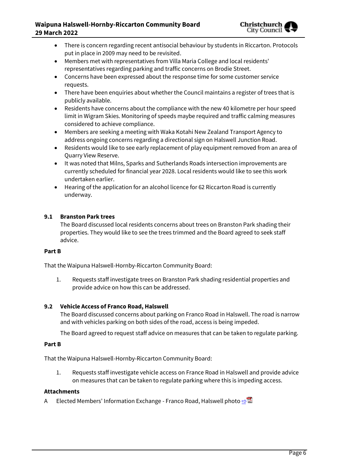

- There is concern regarding recent antisocial behaviour by students in Riccarton. Protocols put in place in 2009 may need to be revisited.
- Members met with representatives from Villa Maria College and local residents' representatives regarding parking and traffic concerns on Brodie Street.
- Concerns have been expressed about the response time for some customer service requests.
- There have been enquiries about whether the Council maintains a register of trees that is publicly available.
- Residents have concerns about the compliance with the new 40 kilometre per hour speed limit in Wigram Skies. Monitoring of speeds maybe required and traffic calming measures considered to achieve compliance.
- Members are seeking a meeting with Waka Kotahi New Zealand Transport Agency to address ongoing concerns regarding a directional sign on Halswell Junction Road.
- Residents would like to see early replacement of play equipment removed from an area of Quarry View Reserve.
- It was noted that Milns, Sparks and Sutherlands Roads intersection improvements are currently scheduled for financial year 2028. Local residents would like to see this work undertaken earlier.
- Hearing of the application for an alcohol licence for 62 Riccarton Road is currently underway.

## **9.1 Branston Park trees**

The Board discussed local residents concerns about trees on Branston Park shading their properties. They would like to see the trees trimmed and the Board agreed to seek staff advice.

### **Part B**

That the Waipuna Halswell-Hornby-Riccarton Community Board:

1. Requests staff investigate trees on Branston Park shading residential properties and provide advice on how this can be addressed.

### **9.2 Vehicle Access of Franco Road, Halswell**

The Board discussed concerns about parking on Franco Road in Halswell. The road is narrow and with vehicles parking on both sides of the road, access is being impeded.

The Board agreed to request staff advice on measures that can be taken to regulate parking.

#### **Part B**

That the Waipuna Halswell-Hornby-Riccarton Community Board:

1. Requests staff investigate vehicle access on France Road in Halswell and provide advice on measures that can be taken to regulate parking where this is impeding access.

#### **Attachments**

A Elected Members' Information Exchange - Franco Road, Halswell photo **[⇨](../../../RedirectToInvalidFileName.aspx?FileName=HHRB_20220329_MAT_7632.PDF#PAGE=1)</u>■**